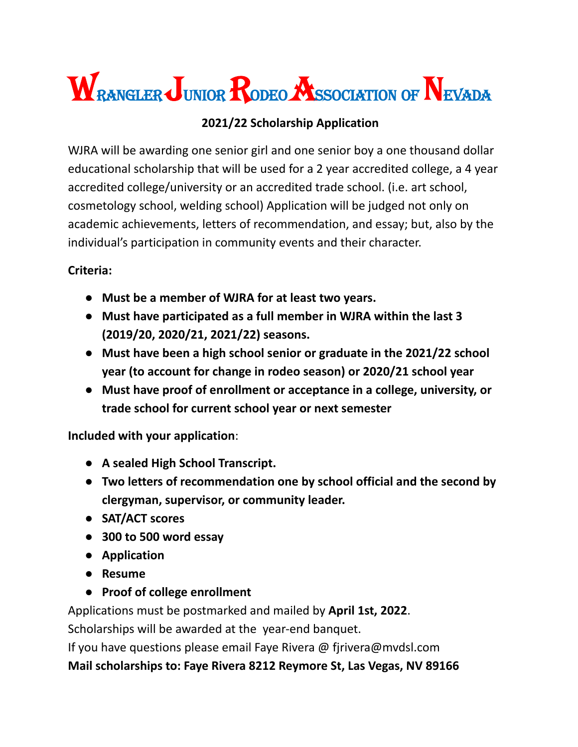# WRANGLER JUNIOR RODEO ASSOCIATION OF NEVADA

### **2021/22 Scholarship Application**

WJRA will be awarding one senior girl and one senior boy a one thousand dollar educational scholarship that will be used for a 2 year accredited college, a 4 year accredited college/university or an accredited trade school. (i.e. art school, cosmetology school, welding school) Application will be judged not only on academic achievements, letters of recommendation, and essay; but, also by the individual's participation in community events and their character.

#### **Criteria:**

- **● Must be a member of WJRA for at least two years.**
- **● Must have participated as a full member in WJRA within the last 3 (2019/20, 2020/21, 2021/22) seasons.**
- **● Must have been a high school senior or graduate in the 2021/22 school year (to account for change in rodeo season) or 2020/21 school year**
- **● Must have proof of enrollment or acceptance in a college, university, or trade school for current school year or next semester**

**Included with your application**:

- **● A sealed High School Transcript.**
- **● Two letters of recommendation one by school official and the second by clergyman, supervisor, or community leader.**
- **● SAT/ACT scores**
- **● 300 to 500 word essay**
- **● Application**
- **● Resume**
- **● Proof of college enrollment**

Applications must be postmarked and mailed by **April 1st, 2022**.

Scholarships will be awarded at the year-end banquet.

If you have questions please email Faye Rivera @ fjrivera@mvdsl.com

**Mail scholarships to: Faye Rivera 8212 Reymore St, Las Vegas, NV 89166**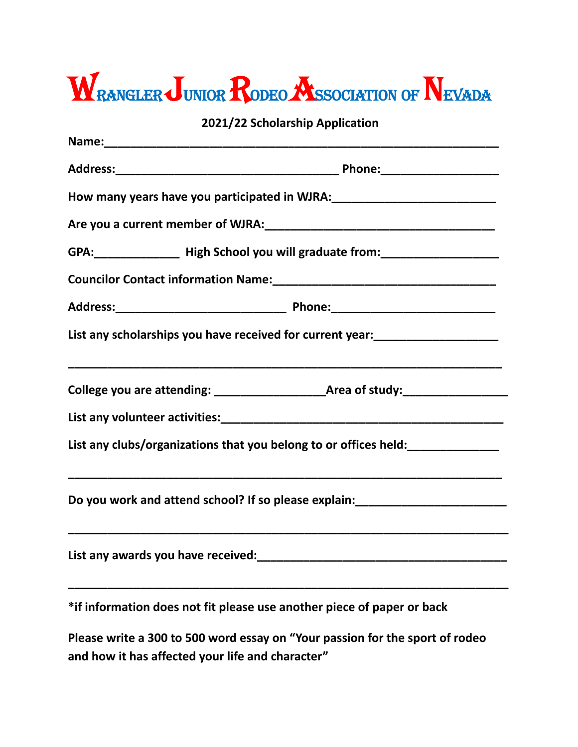# WRANGLER JUNIOR RODEO ASSOCIATION OF NEVADA

**2021/22 Scholarship Application**

| GPA: _________________ High School you will graduate from: _____________________ |                                                                                      |
|----------------------------------------------------------------------------------|--------------------------------------------------------------------------------------|
|                                                                                  |                                                                                      |
|                                                                                  |                                                                                      |
|                                                                                  | List any scholarships you have received for current year:<br>_______________________ |
|                                                                                  |                                                                                      |
|                                                                                  |                                                                                      |
|                                                                                  | List any clubs/organizations that you belong to or offices held:<br>________________ |
|                                                                                  | Do you work and attend school? If so please explain:____________________________     |
| List any awards you have received:                                               |                                                                                      |
|                                                                                  | *if information does not fit please use another piece of paper or back               |
|                                                                                  | Dlages with a 200 to FOO word assey on "Vous nossing                                 |

**Please write a 300 to 500 word essay on "Your passion for the sport of rodeo and how it has affected your life and character"**